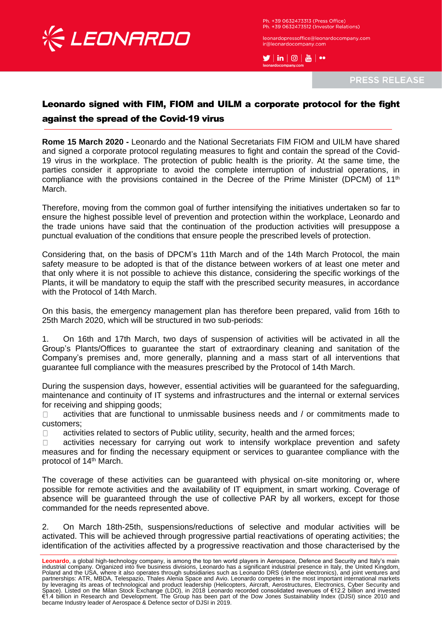

Ph. +39 0632473313 (Press Office) Ph. +39 0632473512 (Investor Relations)

leonardopressoffice@leonardocompany.com ir@leonardocompany.con

 $\blacktriangleright$   $\mid$  in  $\mid$   $\odot$   $\mid$   $\stackrel{w}{\text{on}}$   $\mid$   $\bullet$ 

**PRESS RELEASE** 

## Leonardo signed with FIM, FIOM and UILM a corporate protocol for the fight against the spread of the Covid-19 virus

**Rome 15 March 2020 -** Leonardo and the National Secretariats FIM FIOM and UILM have shared and signed a corporate protocol regulating measures to fight and contain the spread of the Covid-19 virus in the workplace. The protection of public health is the priority. At the same time, the parties consider it appropriate to avoid the complete interruption of industrial operations, in compliance with the provisions contained in the Decree of the Prime Minister (DPCM) of 11<sup>th</sup> March.

Therefore, moving from the common goal of further intensifying the initiatives undertaken so far to ensure the highest possible level of prevention and protection within the workplace, Leonardo and the trade unions have said that the continuation of the production activities will presuppose a punctual evaluation of the conditions that ensure people the prescribed levels of protection.

Considering that, on the basis of DPCM's 11th March and of the 14th March Protocol, the main safety measure to be adopted is that of the distance between workers of at least one meter and that only where it is not possible to achieve this distance, considering the specific workings of the Plants, it will be mandatory to equip the staff with the prescribed security measures, in accordance with the Protocol of 14th March.

On this basis, the emergency management plan has therefore been prepared, valid from 16th to 25th March 2020, which will be structured in two sub-periods:

1. On 16th and 17th March, two days of suspension of activities will be activated in all the Group's Plants/Offices to guarantee the start of extraordinary cleaning and sanitation of the Company's premises and, more generally, planning and a mass start of all interventions that guarantee full compliance with the measures prescribed by the Protocol of 14th March.

During the suspension days, however, essential activities will be guaranteed for the safeguarding, maintenance and continuity of IT systems and infrastructures and the internal or external services for receiving and shipping goods;

activities that are functional to unmissable business needs and / or commitments made to  $\Box$ customers;

activities related to sectors of Public utility, security, health and the armed forces;  $\Box$ 

activities necessary for carrying out work to intensify workplace prevention and safety  $\Box$ measures and for finding the necessary equipment or services to guarantee compliance with the protocol of 14<sup>th</sup> March.

The coverage of these activities can be guaranteed with physical on-site monitoring or, where possible for remote activities and the availability of IT equipment, in smart working. Coverage of absence will be guaranteed through the use of collective PAR by all workers, except for those commanded for the needs represented above.

2. On March 18th-25th, suspensions/reductions of selective and modular activities will be activated. This will be achieved through progressive partial reactivations of operating activities; the identification of the activities affected by a progressive reactivation and those characterised by the

**Leonardo**, a global high-technology company, is among the top ten world players in Aerospace, Defence and Security and Italy's main industrial company. Organized into five business divisions, Leonardo has a significant industrial presence in Italy, the United Kingdom, Poland and the USA, where it also operates through subsidiaries such as Leonardo DRS (defense electronics), and joint ventures and partnerships: ATR, MBDA, Telespazio, Thales Alenia Space and Avio. Leonardo competes in the most important international markets by leveraging its areas of technological and product leadership (Helicopters, Aircraft, Aerostructures, Electronics, Cyber Security and<br>Space). Listed on the Milan Stock Exchange (LDO), in 2018 Leonardo recorded consolida €1.4 billion in Research and Development. The Group has been part of the Dow Jones Sustainability Index (DJSI) since 2010 and became Industry leader of Aerospace & Defence sector of DJSI in 2019.